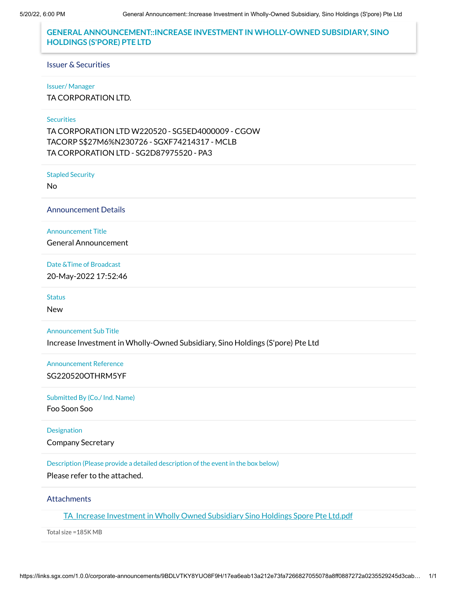## **GENERAL ANNOUNCEMENT::INCREASE INVESTMENT IN WHOLLY-OWNED SUBSIDIARY, SINO HOLDINGS (S'PORE) PTE LTD**

#### Issuer & Securities

#### Issuer/ Manager

TA CORPORATION LTD.

### **Securities**

TA CORPORATION LTD W220520 - SG5ED4000009 - CGOW TACORP S\$27M6%N230726 - SGXF74214317 - MCLB TA CORPORATION LTD - SG2D87975520 - PA3

Stapled Security

No

Announcement Details

Announcement Title

General Announcement

Date &Time of Broadcast

20-May-2022 17:52:46

**Status** 

New

Announcement Sub Title

Increase Investment in Wholly-Owned Subsidiary, Sino Holdings (S'pore) Pte Ltd

Announcement Reference

SG220520OTHRM5YF

#### Submitted By (Co./ Ind. Name)

Foo Soon Soo

### Designation

Company Secretary

Description (Please provide a detailed description of the event in the box below)

Please refer to the attached.

#### **Attachments**

TA Increase [Investment in](https://links.sgx.com/1.0.0/corporate-announcements/9BDLVTKY8YUO8F9H/718053_TA_Increase%20Investment%20in%20Wholly%20Owned%20Subsidiary%20Sino%20Holdings%20Spore%20Pte%20Ltd.pdf) Wholly Owned Subsidiary Sino Holdings Spore Pte Ltd.pdf

Total size =185K MB